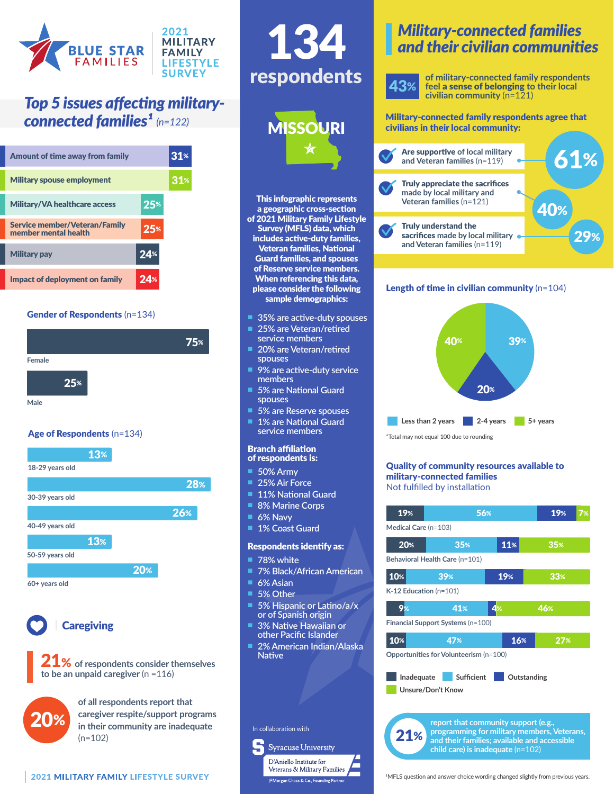

## *Top 5 issues affecting military-*

| Amount of time away from family                              |       | 31 <sup>∗</sup> |
|--------------------------------------------------------------|-------|-----------------|
| <b>Military spouse employment</b>                            |       |                 |
| <b>Military/VA healthcare access</b>                         | $25*$ |                 |
| <b>Service member/Veteran/Family</b><br>member mental health | 25%   |                 |
| <b>Military pay</b>                                          | 24%   |                 |
| Impact of deployment on family                               | 24%   |                 |

## Gender of Respondents (n=134)



## Age of Respondents (n=134)





**Caregiving** 





**of all respondents report that caregiver respite/support programs in their community are inadequate**   $(n=102)$ 

## This infographic represents a geographic cross-section of 2021 Military Family Lifestyle Survey (MFLS) data, which includes active-duty families, Veteran families, National Guard families, and spouses of Reserve service members. When referencing this data, please consider the following sample demographics: 43% respondents 134 n **35% are active-duty spouses** n **25% are Veteran/retired service members 20% are Veteran/retired spouses 9% are active-duty service members 5% are National Guard spouses 5% are Reserve spouses 1% are National Guard service members** Branch affiliation of respondents is: n **50% Army** \*Total may not equal 100 due to rounding **MISSOURI**

- **25% Air Force**
- **11% National Guard**
- **8% Marine Corps**
- **6% Navy**
- **1% Coast Guard**

## Respondents identify as:

- **78% white**
- n **7% Black/African American**
- **6% Asian**
- 5% Other
- 5% Hispanic or Latino/a/x **or of Spanish origin**
- **3% Native Hawaiian or other Pacific Islander**
- n **2% American Indian/Alaska Native**

## In collaboration with



## *Military-connected families and their civilian communities*

**of military-connected family respondents feel** a sense of belonging **to their local civilian community** (n=121)

#### **connected families<sup>1</sup>** (n=122) Military-connected family respondents agree that civilians in their local community:



## Length of time in civilian community (n=104)



#### Quality of community resources available to military-connected families Not fulfilled by installation